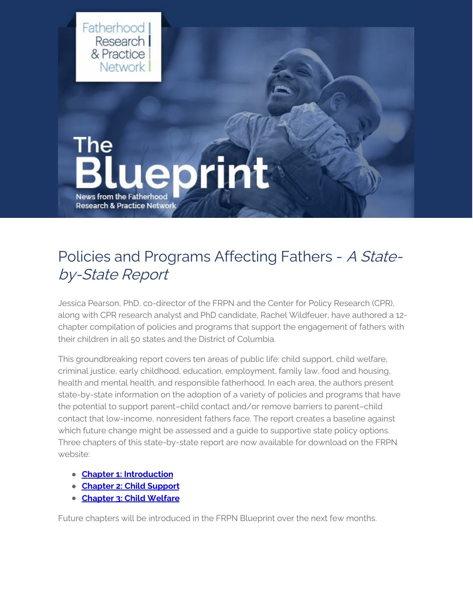

### Policies and Programs Affecting Fathers - A Stateby-State Report

Jessica Pearson, PhD, co-director of the FRPN and the Center for Policy Research (CPR), along with CPR research analyst and PhD candidate, Rachel Wildfeuer, have authored a 12 chapter compilation of policies and programs that support the engagement of fathers with their children in all 50 states and the District of Columbia.

This groundbreaking report covers ten areas of public life: child support, child welfare, criminal justice, early childhood, education, employment, family law, food and housing, health and mental health, and responsible fatherhood. In each area, the authors present state-by-state information on the adoption of a variety of policies and programs that have the potential to support parent–child contact and/or remove barriers to parent–child contact that low-income, nonresident fathers face. The report creates a baseline against which future change might be assessed and a guide to supportive state policy options. Three chapters of this state-by-state report are now available for download on the FRPN website:

- **Chapter 1: [Introduction](https://www.frpn.org/asset/policies-and-programs-affecting-fathers-state-state-report-introduction)**
- **[Chapter](https://www.frpn.org/asset/policies-and-programs-affecting-fathers-state-state-report-chapter-2-child-support) 2: Child Support**
- **[Chapter](https://www.frpn.org/asset/policies-and-programs-affecting-fathers-state-state-report-chapter-3-child-welfare) 3: Child Welfare**

Future chapters will be introduced in the FRPN Blueprint over the next few months.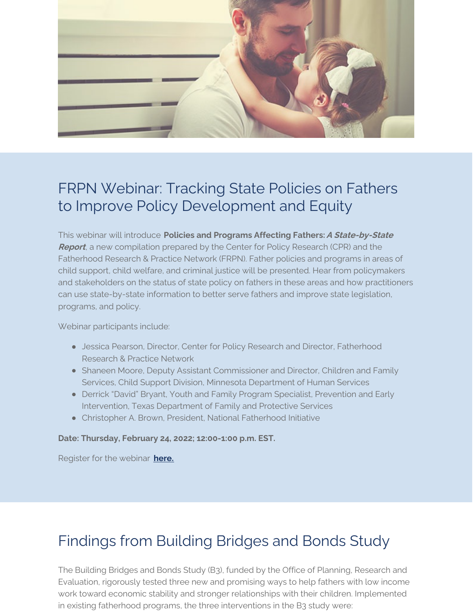

# FRPN Webinar: Tracking State Policies on Fathers to Improve Policy Development and Equity

This webinar will introduce **Policies and Programs Affecting Fathers:A State-by-State Report**, a new compilation prepared by the Center for Policy Research (CPR) and the Fatherhood Research & Practice Network (FRPN). Father policies and programs in areas of child support, child welfare, and criminal justice will be presented. Hear from policymakers and stakeholders on the status of state policy on fathers in these areas and how practitioners can use state-by-state information to better serve fathers and improve state legislation, programs, and policy.

Webinar participants include:

- **Jessica Pearson, Director, Center for Policy Research and Director, Fatherhood** Research & Practice Network
- Shaneen Moore, Deputy Assistant Commissioner and Director, Children and Family Services, Child Support Division, Minnesota Department of Human Services
- Derrick "David" Bryant, Youth and Family Program Specialist, Prevention and Early Intervention, Texas Department of Family and Protective Services
- Christopher A. Brown, President, National Fatherhood Initiative

#### **Date: Thursday, February 24, 2022; 12:00-1:00 p.m. EST.**

Register for the webinar **[here.](https://www.eventbrite.com/e/tracking-state-policies-on-fathers-to-improve-policy-development-and-equity-tickets-247235346577)**

## Findings from Building Bridges and Bonds Study

The Building Bridges and Bonds Study (B3), funded by the Office of Planning, Research and Evaluation, rigorously tested three new and promising ways to help fathers with low income work toward economic stability and stronger relationships with their children. Implemented in existing fatherhood programs, the three interventions in the B3 study were: